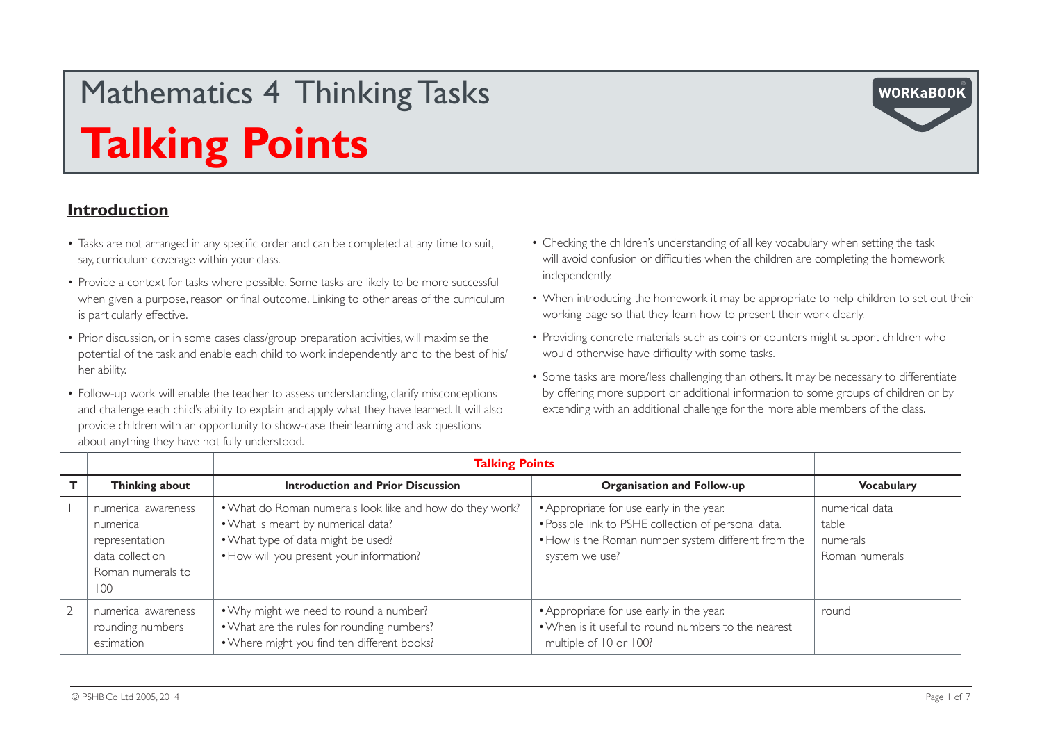#### **Introduction**

- Tasks are not arranged in any specific order and can be completed at any time to suit, say, curriculum coverage within your class.
- Provide a context for tasks where possible. Some tasks are likely to be more successful when given a purpose, reason or final outcome. Linking to other areas of the curriculum is particularly effective.
- Prior discussion, or in some cases class/group preparation activities, will maximise the potential of the task and enable each child to work independently and to the best of his/ her ability.
- Follow-up work will enable the teacher to assess understanding, clarify misconceptions and challenge each child's ability to explain and apply what they have learned. It will also provide children with an opportunity to show-case their learning and ask questions about anything they have not fully understood.
- Checking the children's understanding of all key vocabulary when setting the task will avoid confusion or difficulties when the children are completing the homework independently.
- When introducing the homework it may be appropriate to help children to set out their working page so that they learn how to present their work clearly.
- Providing concrete materials such as coins or counters might support children who would otherwise have difficulty with some tasks.
- Some tasks are more/less challenging than others. It may be necessary to differentiate by offering more support or additional information to some groups of children or by extending with an additional challenge for the more able members of the class.

|                                                                                                   | <b>Talking Points</b>                                                                                                                                                            |                                                                                                                                                                           |                                                       |
|---------------------------------------------------------------------------------------------------|----------------------------------------------------------------------------------------------------------------------------------------------------------------------------------|---------------------------------------------------------------------------------------------------------------------------------------------------------------------------|-------------------------------------------------------|
| Thinking about                                                                                    | <b>Introduction and Prior Discussion</b>                                                                                                                                         | <b>Organisation and Follow-up</b>                                                                                                                                         | <b>Vocabulary</b>                                     |
| numerical awareness<br>numerical<br>representation<br>data collection<br>Roman numerals to<br>100 | . What do Roman numerals look like and how do they work?<br>. What is meant by numerical data?<br>. What type of data might be used?<br>• How will you present your information? | • Appropriate for use early in the year.<br>· Possible link to PSHE collection of personal data.<br>. How is the Roman number system different from the<br>system we use? | numerical data<br>table<br>numerals<br>Roman numerals |
| numerical awareness<br>rounding numbers<br>estimation                                             | . Why might we need to round a number?<br>. What are the rules for rounding numbers?<br>. Where might you find ten different books?                                              | • Appropriate for use early in the year.<br>. When is it useful to round numbers to the nearest<br>multiple of 10 or 100?                                                 | round                                                 |

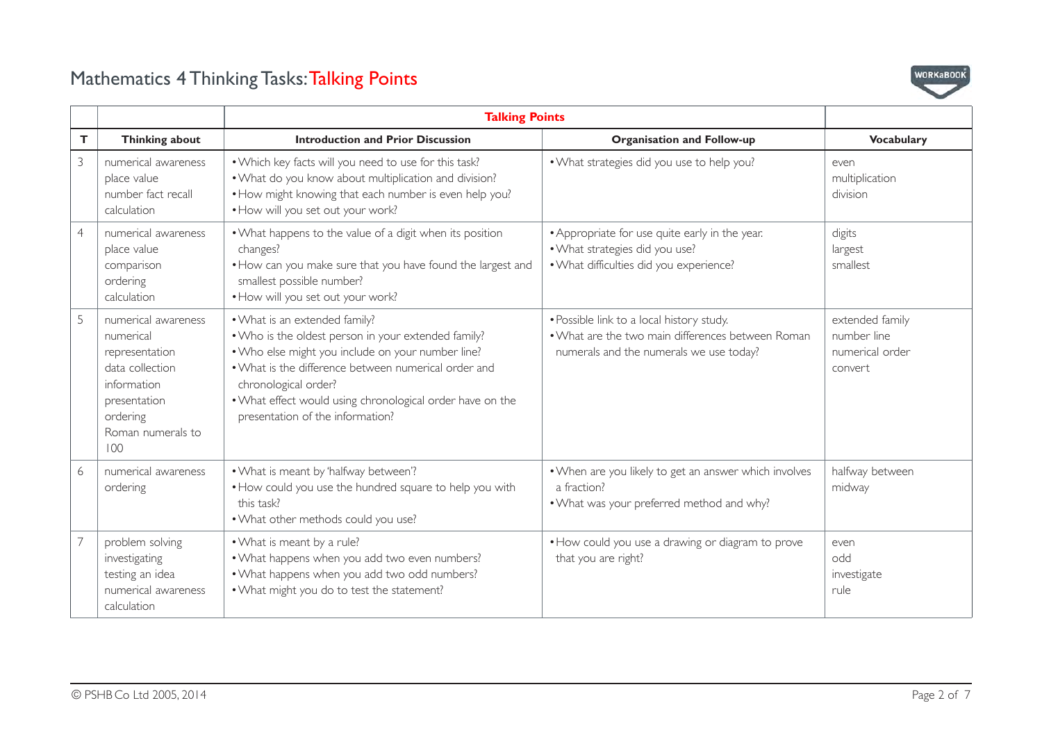

|                |                                                                                                                                              | <b>Talking Points</b>                                                                                                                                                                                                                                                                                                      |                                                                                                                                           |                                                              |
|----------------|----------------------------------------------------------------------------------------------------------------------------------------------|----------------------------------------------------------------------------------------------------------------------------------------------------------------------------------------------------------------------------------------------------------------------------------------------------------------------------|-------------------------------------------------------------------------------------------------------------------------------------------|--------------------------------------------------------------|
| T.             | Thinking about                                                                                                                               | <b>Introduction and Prior Discussion</b>                                                                                                                                                                                                                                                                                   | <b>Organisation and Follow-up</b>                                                                                                         | <b>Vocabulary</b>                                            |
| $\mathfrak{Z}$ | numerical awareness<br>place value<br>number fact recall<br>calculation                                                                      | . Which key facts will you need to use for this task?<br>. What do you know about multiplication and division?<br>• How might knowing that each number is even help you?<br>. How will you set out your work?                                                                                                              | . What strategies did you use to help you?                                                                                                | even<br>multiplication<br>division                           |
| $\overline{4}$ | numerical awareness<br>place value<br>comparison<br>ordering<br>calculation                                                                  | . What happens to the value of a digit when its position<br>changes?<br>. How can you make sure that you have found the largest and<br>smallest possible number?<br>. How will you set out your work?                                                                                                                      | • Appropriate for use quite early in the year.<br>. What strategies did you use?<br>. What difficulties did you experience?               | digits<br>largest<br>smallest                                |
| 5              | numerical awareness<br>numerical<br>representation<br>data collection<br>information<br>presentation<br>ordering<br>Roman numerals to<br>100 | . What is an extended family?<br>. Who is the oldest person in your extended family?<br>. Who else might you include on your number line?<br>• What is the difference between numerical order and<br>chronological order?<br>. What effect would using chronological order have on the<br>presentation of the information? | • Possible link to a local history study.<br>. What are the two main differences between Roman<br>numerals and the numerals we use today? | extended family<br>number line<br>numerical order<br>convert |
| 6              | numerical awareness<br>ordering                                                                                                              | . What is meant by 'halfway between'?<br>. How could you use the hundred square to help you with<br>this task?<br>. What other methods could you use?                                                                                                                                                                      | . When are you likely to get an answer which involves<br>a fraction?<br>. What was your preferred method and why?                         | halfway between<br>midway                                    |
| $\overline{7}$ | problem solving<br>investigating<br>testing an idea<br>numerical awareness<br>calculation                                                    | . What is meant by a rule?<br>. What happens when you add two even numbers?<br>. What happens when you add two odd numbers?<br>. What might you do to test the statement?                                                                                                                                                  | • How could you use a drawing or diagram to prove<br>that you are right?                                                                  | even<br>odd<br>investigate<br>rule                           |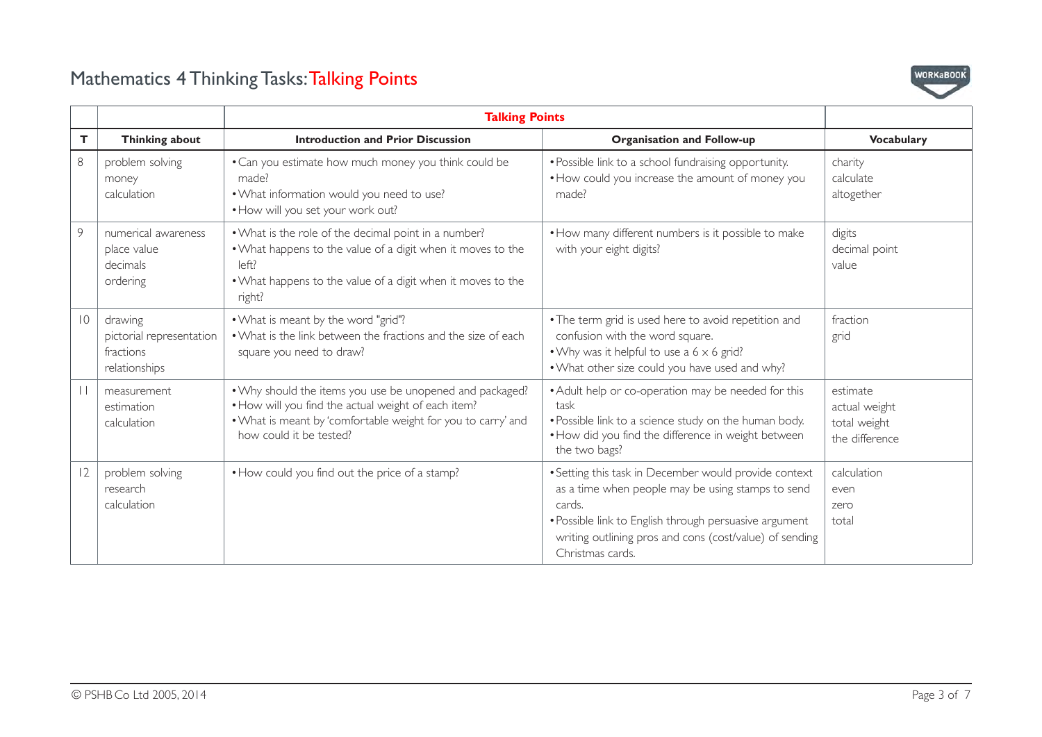

|         |                                                                   | <b>Talking Points</b>                                                                                                                                                                                      |                                                                                                                                                                                                                                                               |                                                             |
|---------|-------------------------------------------------------------------|------------------------------------------------------------------------------------------------------------------------------------------------------------------------------------------------------------|---------------------------------------------------------------------------------------------------------------------------------------------------------------------------------------------------------------------------------------------------------------|-------------------------------------------------------------|
| T.      | Thinking about                                                    | <b>Introduction and Prior Discussion</b>                                                                                                                                                                   | <b>Organisation and Follow-up</b>                                                                                                                                                                                                                             | <b>Vocabulary</b>                                           |
| 8       | problem solving<br>money<br>calculation                           | • Can you estimate how much money you think could be<br>made?<br>. What information would you need to use?<br>. How will you set your work out?                                                            | • Possible link to a school fundraising opportunity.<br>• How could you increase the amount of money you<br>made?                                                                                                                                             | charity<br>calculate<br>altogether                          |
| 9       | numerical awareness<br>place value<br>decimals<br>ordering        | . What is the role of the decimal point in a number?<br>. What happens to the value of a digit when it moves to the<br>left?<br>• What happens to the value of a digit when it moves to the<br>right?      | • How many different numbers is it possible to make<br>with your eight digits?                                                                                                                                                                                | digits<br>decimal point<br>value                            |
| 10      | drawing<br>pictorial representation<br>fractions<br>relationships | . What is meant by the word "grid"?<br>• What is the link between the fractions and the size of each<br>square you need to draw?                                                                           | • The term grid is used here to avoid repetition and<br>confusion with the word square.<br>• Why was it helpful to use a $6 \times 6$ grid?<br>. What other size could you have used and why?                                                                 | fraction<br>grid                                            |
| $\perp$ | measurement<br>estimation<br>calculation                          | . Why should the items you use be unopened and packaged?<br>• How will you find the actual weight of each item?<br>. What is meant by 'comfortable weight for you to carry' and<br>how could it be tested? | • Adult help or co-operation may be needed for this<br>task<br>. Possible link to a science study on the human body.<br>• How did you find the difference in weight between<br>the two bags?                                                                  | estimate<br>actual weight<br>total weight<br>the difference |
| 12      | problem solving<br>research<br>calculation                        | • How could you find out the price of a stamp?                                                                                                                                                             | • Setting this task in December would provide context<br>as a time when people may be using stamps to send<br>cards.<br>• Possible link to English through persuasive argument<br>writing outlining pros and cons (cost/value) of sending<br>Christmas cards. | calculation<br>even<br>zero<br>total                        |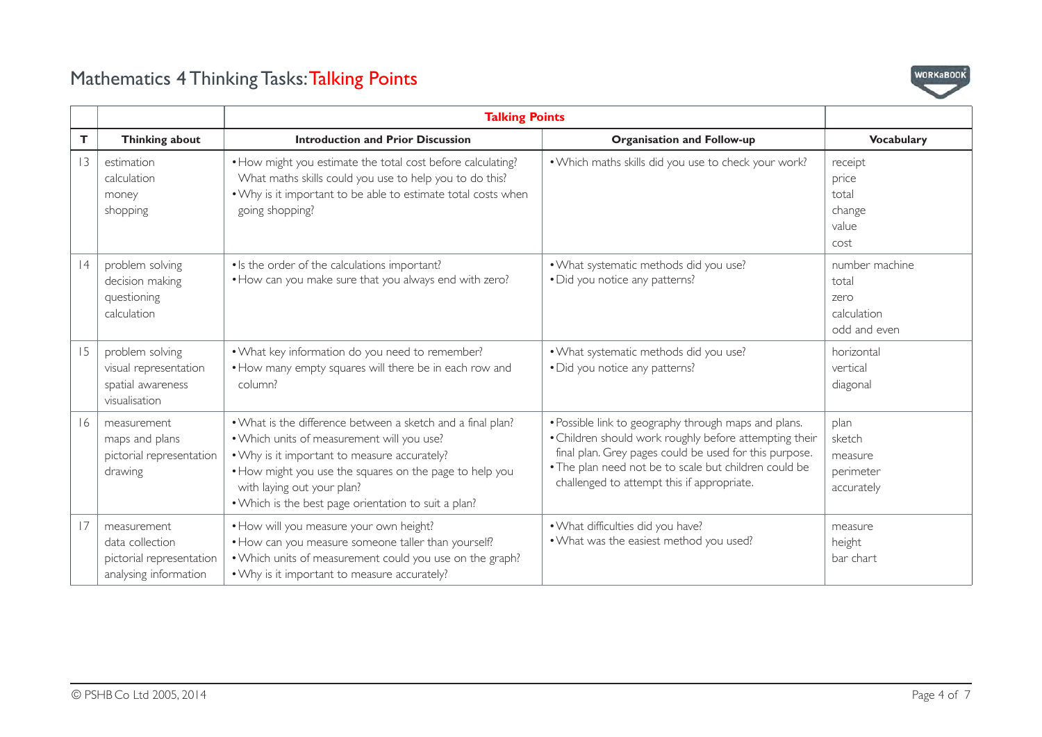

|    |                                                                                     | <b>Talking Points</b>                                                                                                                                                                                                                                                                                      |                                                                                                                                                                                                                                                                                 |                                                                |
|----|-------------------------------------------------------------------------------------|------------------------------------------------------------------------------------------------------------------------------------------------------------------------------------------------------------------------------------------------------------------------------------------------------------|---------------------------------------------------------------------------------------------------------------------------------------------------------------------------------------------------------------------------------------------------------------------------------|----------------------------------------------------------------|
| T. | Thinking about                                                                      | <b>Introduction and Prior Discussion</b>                                                                                                                                                                                                                                                                   | <b>Organisation and Follow-up</b>                                                                                                                                                                                                                                               | <b>Vocabulary</b>                                              |
| 3  | estimation<br>calculation<br>money<br>shopping                                      | • How might you estimate the total cost before calculating?<br>What maths skills could you use to help you to do this?<br>. Why is it important to be able to estimate total costs when<br>going shopping?                                                                                                 | . Which maths skills did you use to check your work?                                                                                                                                                                                                                            | receipt<br>price<br>total<br>change<br>value<br>cost           |
| 4  | problem solving<br>decision making<br>questioning<br>calculation                    | • Is the order of the calculations important?<br>. How can you make sure that you always end with zero?                                                                                                                                                                                                    | . What systematic methods did you use?<br>• Did you notice any patterns?                                                                                                                                                                                                        | number machine<br>total<br>zero<br>calculation<br>odd and even |
| 15 | problem solving<br>visual representation<br>spatial awareness<br>visualisation      | . What key information do you need to remember?<br>. How many empty squares will there be in each row and<br>column?                                                                                                                                                                                       | . What systematic methods did you use?<br>• Did you notice any patterns?                                                                                                                                                                                                        | horizontal<br>vertical<br>diagonal                             |
| 16 | measurement<br>maps and plans<br>pictorial representation<br>drawing                | . What is the difference between a sketch and a final plan?<br>. Which units of measurement will you use?<br>. Why is it important to measure accurately?<br>• How might you use the squares on the page to help you<br>with laying out your plan?<br>• Which is the best page orientation to suit a plan? | . Possible link to geography through maps and plans.<br>. Children should work roughly before attempting their<br>final plan. Grey pages could be used for this purpose.<br>. The plan need not be to scale but children could be<br>challenged to attempt this if appropriate. | plan<br>sketch<br>measure<br>perimeter<br>accurately           |
| 17 | measurement<br>data collection<br>pictorial representation<br>analysing information | . How will you measure your own height?<br>. How can you measure someone taller than yourself?<br>. Which units of measurement could you use on the graph?<br>. Why is it important to measure accurately?                                                                                                 | . What difficulties did you have?<br>. What was the easiest method you used?                                                                                                                                                                                                    | measure<br>height<br>bar chart                                 |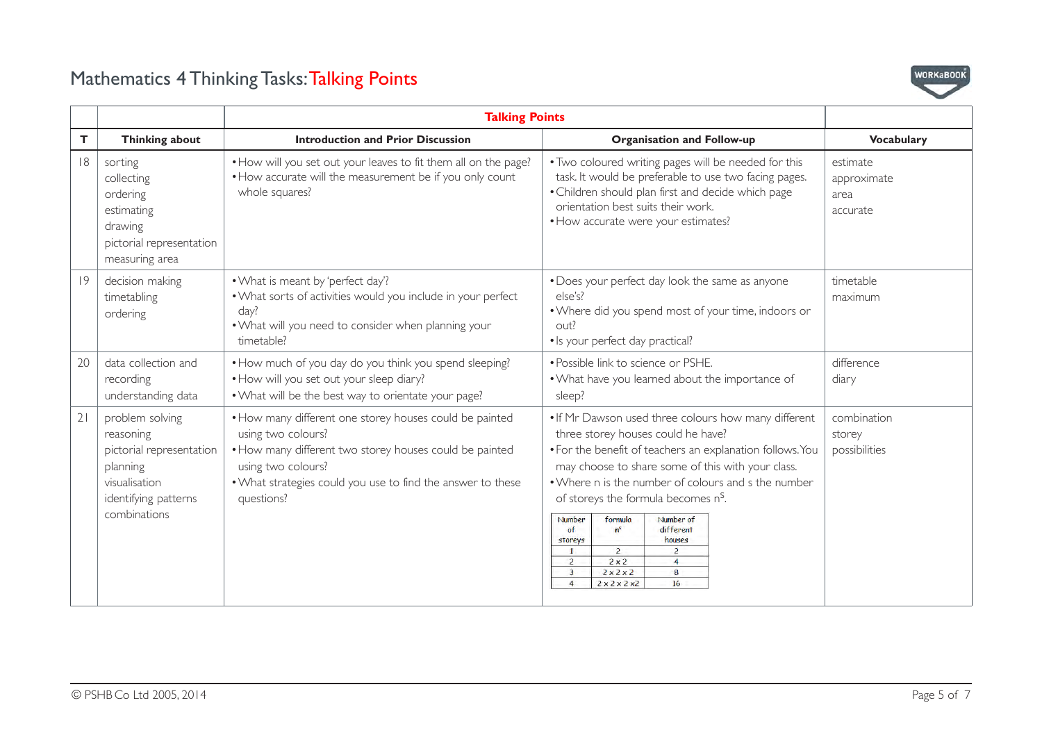

|    |                                                                                                                               | <b>Talking Points</b>                                                                                                                                                                                                                       |                                                                                                                                                                                                                                                                                                                                                                                                                                                                                                                                                |                                              |
|----|-------------------------------------------------------------------------------------------------------------------------------|---------------------------------------------------------------------------------------------------------------------------------------------------------------------------------------------------------------------------------------------|------------------------------------------------------------------------------------------------------------------------------------------------------------------------------------------------------------------------------------------------------------------------------------------------------------------------------------------------------------------------------------------------------------------------------------------------------------------------------------------------------------------------------------------------|----------------------------------------------|
| T. | Thinking about                                                                                                                | <b>Introduction and Prior Discussion</b>                                                                                                                                                                                                    | <b>Organisation and Follow-up</b>                                                                                                                                                                                                                                                                                                                                                                                                                                                                                                              | <b>Vocabulary</b>                            |
| 8  | sorting<br>collecting<br>ordering<br>estimating<br>drawing<br>pictorial representation<br>measuring area                      | • How will you set out your leaves to fit them all on the page?<br>• How accurate will the measurement be if you only count<br>whole squares?                                                                                               | . Two coloured writing pages will be needed for this<br>task. It would be preferable to use two facing pages.<br>• Children should plan first and decide which page<br>orientation best suits their work.<br>• How accurate were your estimates?                                                                                                                                                                                                                                                                                               | estimate<br>approximate<br>area.<br>accurate |
| 9  | decision making<br>timetabling<br>ordering                                                                                    | . What is meant by 'perfect day'?<br>. What sorts of activities would you include in your perfect<br>day?<br>. What will you need to consider when planning your<br>timetable?                                                              | • Does your perfect day look the same as anyone<br>else's?<br>• Where did you spend most of your time, indoors or<br>out?<br>· Is your perfect day practical?                                                                                                                                                                                                                                                                                                                                                                                  | timetable<br>maximum                         |
| 20 | data collection and<br>recording<br>understanding data                                                                        | • How much of you day do you think you spend sleeping?<br>. How will you set out your sleep diary?<br>. What will be the best way to orientate your page?                                                                                   | • Possible link to science or PSHE.<br>. What have you learned about the importance of<br>sleep?                                                                                                                                                                                                                                                                                                                                                                                                                                               | difference<br>diary                          |
| 21 | problem solving<br>reasoning<br>pictorial representation<br>planning<br>visualisation<br>identifying patterns<br>combinations | • How many different one storey houses could be painted<br>using two colours?<br>• How many different two storey houses could be painted<br>using two colours?<br>. What strategies could you use to find the answer to these<br>questions? | . If Mr Dawson used three colours how many different<br>three storey houses could he have?<br>• For the benefit of teachers an explanation follows. You<br>may choose to share some of this with your class.<br>• Where n is the number of colours and s the number<br>of storeys the formula becomes n <sup>S</sup> .<br>Number of<br>Number<br>formula<br>of<br>$n^s$<br>different<br>houses<br>storeys<br>$\overline{2}$<br>$\overline{2}$<br>2x2<br>2<br>$\overline{A}$<br>$\overline{3}$<br>2x2x2<br>8<br>$\overline{A}$<br>2x2x2x2<br>16 | combination<br>storey<br>possibilities       |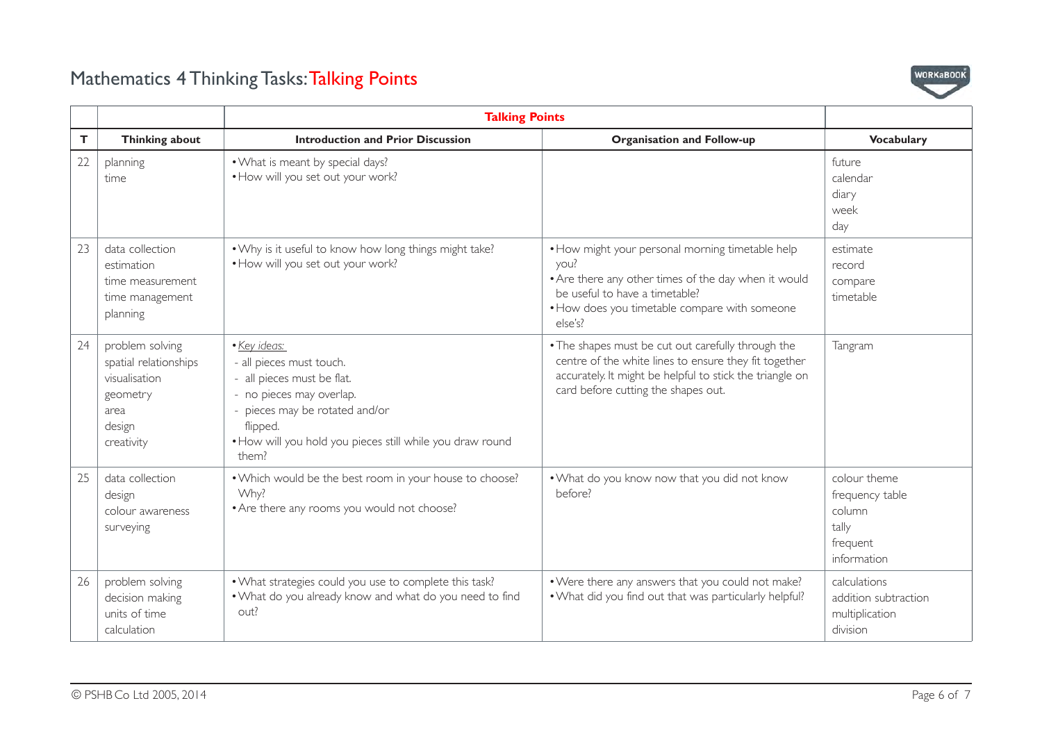

|    |                                                                                                       | <b>Talking Points</b>                                                                                                                                                                                                  |                                                                                                                                                                                                                |                                                                               |
|----|-------------------------------------------------------------------------------------------------------|------------------------------------------------------------------------------------------------------------------------------------------------------------------------------------------------------------------------|----------------------------------------------------------------------------------------------------------------------------------------------------------------------------------------------------------------|-------------------------------------------------------------------------------|
| T. | Thinking about                                                                                        | <b>Introduction and Prior Discussion</b>                                                                                                                                                                               | <b>Organisation and Follow-up</b>                                                                                                                                                                              | <b>Vocabulary</b>                                                             |
| 22 | planning<br>time                                                                                      | • What is meant by special days?<br>. How will you set out your work?                                                                                                                                                  |                                                                                                                                                                                                                | future<br>calendar<br>diary<br>week<br>day                                    |
| 23 | data collection<br>estimation<br>time measurement<br>time management<br>planning                      | . Why is it useful to know how long things might take?<br>. How will you set out your work?                                                                                                                            | • How might your personal morning timetable help<br>you?<br>• Are there any other times of the day when it would<br>be useful to have a timetable?<br>• How does you timetable compare with someone<br>else's? | estimate<br>record<br>compare<br>timetable                                    |
| 24 | problem solving<br>spatial relationships<br>visualisation<br>geometry<br>area<br>design<br>creativity | • Key ideas:<br>- all pieces must touch.<br>- all pieces must be flat.<br>- no pieces may overlap.<br>- pieces may be rotated and/or<br>flipped.<br>. How will you hold you pieces still while you draw round<br>them? | . The shapes must be cut out carefully through the<br>centre of the white lines to ensure they fit together<br>accurately. It might be helpful to stick the triangle on<br>card before cutting the shapes out. | Tangram                                                                       |
| 25 | data collection<br>design<br>colour awareness<br>surveying                                            | . Which would be the best room in your house to choose?<br>Why?<br>• Are there any rooms you would not choose?                                                                                                         | . What do you know now that you did not know<br>before?                                                                                                                                                        | colour theme<br>frequency table<br>column<br>tally<br>frequent<br>information |
| 26 | problem solving<br>decision making<br>units of time<br>calculation                                    | . What strategies could you use to complete this task?<br>. What do you already know and what do you need to find<br>out?                                                                                              | . Were there any answers that you could not make?<br>. What did you find out that was particularly helpful?                                                                                                    | calculations<br>addition subtraction<br>multiplication<br>division            |